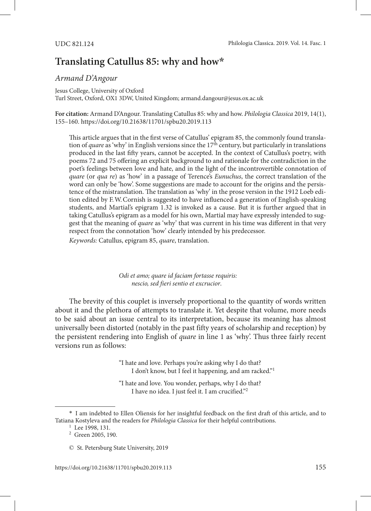## **Translating Catullus 85: why and how\***

## *Armand D'Angour*

Jesus College, University of Oxford Turl Street, Oxford, OX1 3DW, United Kingdom; armand.dangour@jesus.ox.ac.uk

**For citation:** Armand D'Angour. Translating Catullus 85: why and how. *Philologia Classica* 2019, 14(1), 155–160.<https://doi.org/10.21638/11701/spbu20.2019.113>

This article argues that in the first verse of Catullus' epigram 85, the commonly found translation of *quare* as 'why' in English versions since the 17<sup>th</sup> century, but particularly in translations produced in the last fifty years, cannot be accepted. In the context of Catullus's poetry, with poems 72 and 75 offering an explicit background to and rationale for the contradiction in the poet's feelings between love and hate, and in the light of the incontrovertible connotation of *quare* (or *qua re*) as 'how' in a passage of Terence's *Eunuchus*, the correct translation of the word can only be 'how'. Some suggestions are made to account for the origins and the persistence of the mistranslation. The translation as 'why' in the prose version in the 1912 Loeb edition edited by F.W.Cornish is suggested to have influenced a generation of English-speaking students, and Martial's epigram 1.32 is invoked as a cause. But it is further argued that in taking Catullus's epigram as a model for his own, Martial may have expressly intended to suggest that the meaning of *quare* as 'why' that was current in his time was different in that very respect from the connotation 'how' clearly intended by his predecessor.

*Keywords:* Catullus, epigram 85, *quare*, translation.

*Odi et amo; quare id faciam fortasse requiris: nescio, sed fieri sentio et excrucior*.

The brevity of this couplet is inversely proportional to the quantity of words written about it and the plethora of attempts to translate it. Yet despite that volume, more needs to be said about an issue central to its interpretation, because its meaning has almost universally been distorted (notably in the past fifty years of scholarship and reception) by the persistent rendering into English of *quare* in line 1 as 'why'. Thus three fairly recent versions run as follows:

> "I hate and love. Perhaps you're asking why I do that? I don't know, but I feel it happening, and am racked."1

"I hate and love. You wonder, perhaps, why I do that? I have no idea. I just feel it. I am crucified."2

<sup>\*</sup> I am indebted to Ellen Oliensis for her insightful feedback on the first draft of this article, and to Tatiana Kostyleva and the readers for *Philologia Classica* for their helpful contributions.

 $2$  Green 2005, 190.

<sup>©</sup> St. Petersburg State University, 2019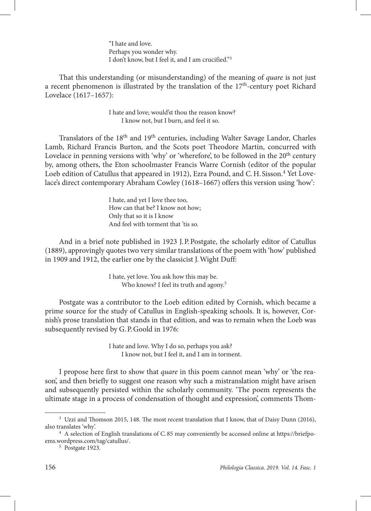"I hate and love. Perhaps you wonder why. I don't know, but I feel it, and I am crucified."3

That this understanding (or misunderstanding) of the meaning of *quare* is not just a recent phenomenon is illustrated by the translation of the  $17<sup>th</sup>$ -century poet Richard Lovelace (1617–1657):

> I hate and love; would'st thou the reason know? I know not, but I burn, and feel it so.

Translators of the 18<sup>th</sup> and 19<sup>th</sup> centuries, including Walter Savage Landor, Charles Lamb, Richard Francis Burton, and the Scots poet Theodore Martin, concurred with Lovelace in penning versions with 'why' or 'wherefore', to be followed in the 20<sup>th</sup> century by, among others, the Eton schoolmaster Francis Warre Cornish (editor of the popular Loeb edition of Catullus that appeared in 1912), Ezra Pound, and C.H. Sisson.<sup>4</sup> Yet Lovelace's direct contemporary Abraham Cowley (1618–1667) offers this version using 'how':

> I hate, and yet I love thee too, How can that be? I know not how; Only that so it is I know And feel with torment that 'tis so.

And in a brief note published in 1923 J.P.Postgate, the scholarly editor of Catullus (1889), approvingly quotes two very similar translations of the poem with 'how' published in 1909 and 1912, the earlier one by the classicist J.Wight Duff:

> I hate, yet love. You ask how this may be. Who knows? I feel its truth and agony.<sup>5</sup>

Postgate was a contributor to the Loeb edition edited by Cornish, which became a prime source for the study of Catullus in English-speaking schools. It is, however, Cornish's prose translation that stands in that edition, and was to remain when the Loeb was subsequently revised by G.P.Goold in 1976:

> I hate and love. Why I do so, perhaps you ask? I know not, but I feel it, and I am in torment.

I propose here first to show that *quare* in this poem cannot mean 'why' or 'the reason', and then briefly to suggest one reason why such a mistranslation might have arisen and subsequently persisted within the scholarly community. 'The poem represents the ultimate stage in a process of condensation of thought and expression', comments Thom-

<sup>&</sup>lt;sup>3</sup> Uzzi and Thomson 2015, 148. The most recent translation that I know, that of Daisy Dunn (2016), also translates 'why'.

<sup>4</sup> A selection of English translations of C. 85 may conveniently be accessed online at https://briefpoems.wordpress.com/tag/catullus/.

<sup>5</sup> Postgate 1923.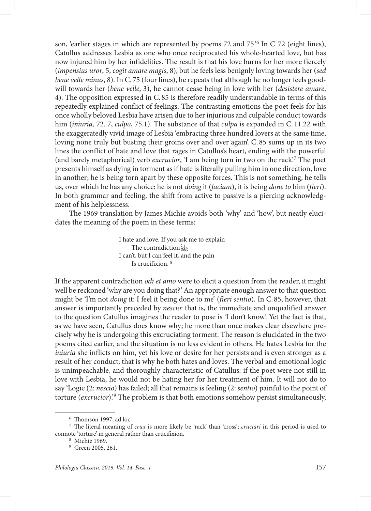son, 'earlier stages in which are represented by poems 72 and 75.'6 In C. 72 (eight lines), Catullus addresses Lesbia as one who once reciprocated his whole-hearted love, but has now injured him by her infidelities. The result is that his love burns for her more fiercely (*impensius uror*, 5, *cogit amare magis*, 8), but he feels less benignly loving towards her (*sed bene velle minus*, 8). In C. 75 (four lines), he repeats that although he no longer feels goodwill towards her (*bene velle*, 3), he cannot cease being in love with her (*desistere amare*, 4). The opposition expressed in C. 85 is therefore readily understandable in terms of this repeatedly explained conflict of feelings. The contrasting emotions the poet feels for his once wholly beloved Lesbia have arisen due to her injurious and culpable conduct towards him (*iniuria,* 72. 7, *culpa*, 75.1). The substance of that *culpa* is expanded in C. 11.22 with the exaggeratedly vivid image of Lesbia 'embracing three hundred lovers at the same time, loving none truly but busting their groins over and over again'. C. 85 sums up in its two lines the conflict of hate and love that rages in Catullus's heart, ending with the powerful (and barely metaphorical) verb *excrucior*, 'I am being torn in two on the rack'.7 The poet presents himself as dying in torment as if hate is literally pulling him in one direction, love in another; he is being torn apart by these opposite forces. This is not something, he tells us, over which he has any choice: he is not *doing* it (*faciam*), it is being *done to* him (*fieri*). In both grammar and feeling, the shift from active to passive is a piercing acknowledgment of his helplessness.

The 1969 translation by James Michie avoids both 'why' and 'how', but neatly elucidates the meaning of the poem in these terms:

> I hate and love. If you ask me to explain The contradiction sep I can't, but I can feel it, and the pain Is crucifixion. 8

If the apparent contradiction *odi et amo* were to elicit a question from the reader, it might well be reckoned 'why are you doing that?' An appropriate enough answer to that question might be 'I'm not *doing* it: I feel it being done to me' (*fieri sentio*). In C. 85, however, that answer is importantly preceded by *nescio*: that is, the immediate and unqualified answer to the question Catullus imagines the reader to pose is 'I don't know'. Yet the fact is that, as we have seen, Catullus does know why; he more than once makes clear elsewhere precisely why he is undergoing this excruciating torment. The reason is elucidated in the two poems cited earlier, and the situation is no less evident in others. He hates Lesbia for the *iniuria* she inflicts on him, yet his love or desire for her persists and is even stronger as a result of her conduct; that is why he both hates and loves. The verbal and emotional logic is unimpeachable, and thoroughly characteristic of Catullus: if the poet were not still in love with Lesbia, he would not be hating her for her treatment of him. It will not do to say 'Logic (2: *nescio*) has failed; all that remains is feeling (2: *sentio*) painful to the point of torture (*excrucior*).'9 The problem is that both emotions somehow persist simultaneously,

<sup>6</sup> Thomson 1997, ad loc.

<sup>7</sup> The literal meaning of *crux* is more likely be 'rack' than 'cross'; *cruciari* in this period is used to connote 'torture' in general rather than crucifixion.

<sup>8</sup> Michie 1969.

<sup>&</sup>lt;sup>9</sup> Green 2005, 261.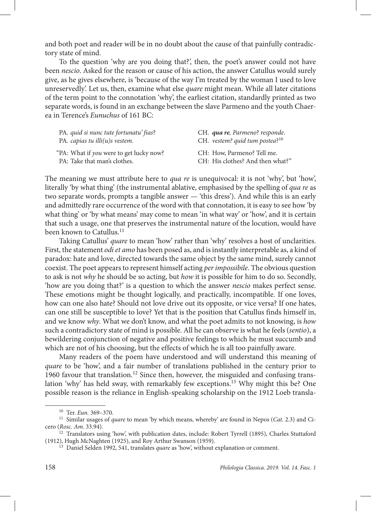and both poet and reader will be in no doubt about the cause of that painfully contradictory state of mind.

To the question 'why are you doing that?', then, the poet's answer could not have been *nescio*. Asked for the reason or cause of his action, the answer Catullus would surely give, as he gives elsewhere, is 'because of the way I'm treated by the woman I used to love unreservedly'. Let us, then, examine what else *quare* might mean. While all later citations of the term point to the connotation 'why', the earliest citation, standardly printed as two separate words, is found in an exchange between the slave Parmeno and the youth Chaerea in Terence's *Eunuchus* of 161 BC:

| PA. quid si nunc tute fortunatu' fias?  | CH. qua re, Parmeno? responde.    |
|-----------------------------------------|-----------------------------------|
| PA. capias tu illi $(u)$ s vestem.      | CH. vestem? quid tum postea? $10$ |
| "PA: What if you were to get lucky now? | CH: How, Parmeno? Tell me.        |
| PA: Take that man's clothes.            | CH: His clothes? And then what?"  |

The meaning we must attribute here to *qua re* is unequivocal: it is not 'why', but 'how', literally 'by what thing' (the instrumental ablative, emphasised by the spelling of *qua re* as two separate words, prompts a tangible answer — 'this dress'). And while this is an early and admittedly rare occurrence of the word with that connotation, it is easy to see how 'by what thing' or 'by what means' may come to mean 'in what way' or 'how', and it is certain that such a usage, one that preserves the instrumental nature of the locution, would have been known to Catullus.<sup>11</sup>

Taking Catullus' *quare* to mean 'how' rather than 'why' resolves a host of unclarities. First, the statement *odi et amo* has been posed as, and is instantly interpretable as, a kind of paradox: hate and love, directed towards the same object by the same mind, surely cannot coexist. The poet appears to represent himself acting *per impossibile*. The obvious question to ask is not *why* he should be so acting, but *how* it is possible for him to do so. Secondly, 'how are you doing that?' is a question to which the answer *nescio* makes perfect sense. These emotions might be thought logically, and practically, incompatible. If one loves, how can one also hate? Should not love drive out its opposite, or vice versa? If one hates, can one still be susceptible to love? Yet that is the position that Catullus finds himself in, and we know *why*. What we don't know, and what the poet admits to not knowing, is *how* such a contradictory state of mind is possible. All he can observe is what he feels (*sentio*), a bewildering conjunction of negative and positive feelings to which he must succumb and which are not of his choosing, but the effects of which he is all too painfully aware.

Many readers of the poem have understood and will understand this meaning of *quare* to be 'how', and a fair number of translations published in the century prior to 1960 favour that translation.12 Since then, however, the misguided and confusing translation 'why' has held sway, with remarkably few exceptions.<sup>13</sup> Why might this be? One possible reason is the reliance in English-speaking scholarship on the 1912 Loeb transla-

<sup>10</sup> Ter. *Eun.* 369–370.

<sup>11</sup> Similar usages of *quare* to mean 'by which means, whereby' are found in Nepos (*Cat*. 2.3) and Cicero (*Rosc. Am*. 33.94).

<sup>&</sup>lt;sup>12</sup> Translators using 'how', with publication dates, include: Robert Tyrrell (1895), Charles Stuttaford (1912), Hugh McNaghten (1925), and Roy Arthur Swanson (1959).

<sup>&</sup>lt;sup>13</sup> Daniel Selden 1992, 541, translates *quare* as 'how', without explanation or comment.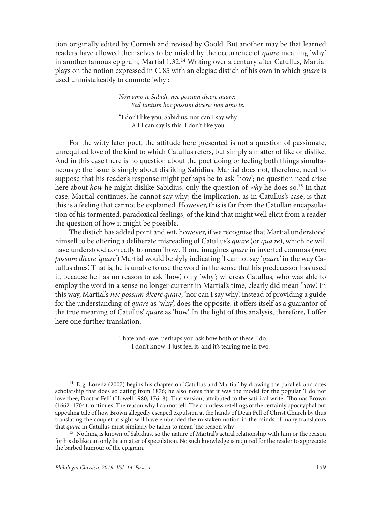tion originally edited by Cornish and revised by Goold. But another may be that learned readers have allowed themselves to be misled by the occurrence of *quare* meaning 'why' in another famous epigram, Martial 1.32.<sup>14</sup> Writing over a century after Catullus, Martial plays on the notion expressed in C. 85 with an elegiac distich of his own in which *quare* is used unmistakeably to connote 'why':

> *Non amo te Sabidi, nec possum dicere quare: Sed tantum hoc possum dicere: non amo te.*

"I don't like you, Sabidius, nor can I say why: All I can say is this: I don't like you."

For the witty later poet, the attitude here presented is not a question of passionate, unrequited love of the kind to which Catullus refers, but simply a matter of like or dislike. And in this case there is no question about the poet doing or feeling both things simultaneously: the issue is simply about disliking Sabidius. Martial does not, therefore, need to suppose that his reader's response might perhaps be to ask 'how'; no question need arise here about *how* he might dislike Sabidius, only the question of *why* he does so.15 In that case, Martial continues, he cannot say why; the implication, as in Catullus's case, is that this is a feeling that cannot be explained. However, this is far from the Catullan encapsulation of his tormented, paradoxical feelings, of the kind that might well elicit from a reader the question of how it might be possible.

The distich has added point and wit, however, if we recognise that Martial understood himself to be offering a deliberate misreading of Catullus's *quare* (or *qua re*), which he will have understood correctly to mean 'how'. If one imagines *quare* in inverted commas (*non possum dicere 'quare'*) Martial would be slyly indicating 'I cannot say '*quare*' in the way Catullus does'. That is, he is unable to use the word in the sense that his predecessor has used it, because he has no reason to ask 'how', only 'why'; whereas Catullus, who was able to employ the word in a sense no longer current in Martial's time, clearly did mean 'how'. In this way, Martial's *nec possum dicere quare*, 'nor can I say why', instead of providing a guide for the understanding of *quare* as 'why', does the opposite: it offers itself as a guarantor of the true meaning of Catullus' *quare* as 'how'. In the light of this analysis, therefore, I offer here one further translation:

> I hate and love; perhaps you ask how both of these I do. I don't know: I just feel it, and it's tearing me in two.

<sup>&</sup>lt;sup>14</sup> E. g. Lorenz (2007) begins his chapter on 'Catullus and Martial' by drawing the parallel, and cites scholarship that does so dating from 1876; he also notes that it was the model for the popular 'I do not love thee, Doctor Fell' (Howell 1980, 176–8). That version, attributed to the satirical writer Thomas Brown (1662–1704) continues 'The reason why I cannot tell'. The countless retellings of the certainly apocryphal but appealing tale of how Brown allegedly escaped expulsion at the hands of Dean Fell of Christ Church by thus translating the couplet at sight will have embedded the mistaken notion in the minds of many translators that *quare* in Catullus must similarly be taken to mean 'the reason why'.

<sup>&</sup>lt;sup>15</sup> Nothing is known of Sabidius, so the nature of Martial's actual relationship with him or the reason for his dislike can only be a matter of speculation. No such knowledge is required for the reader to appreciate the barbed humour of the epigram.